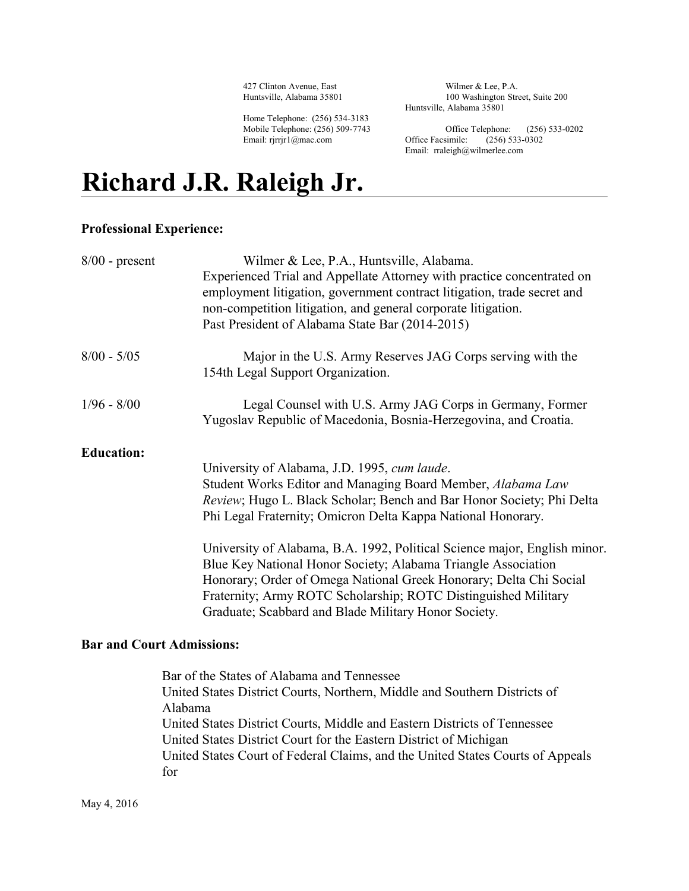427 Clinton Avenue, East Wilmer & Lee, P.A.

Home Telephone: (256) 534-3183<br>Mobile Telephone: (256) 509-7743

Huntsville, Alabama 35801 100 Washington Street, Suite 200 Huntsville, Alabama 35801

Office Telephone: (256) 533-0202 Email: rjrrjr1@mac.com Office Facsimile: (256) 533-0302 Email: rraleigh@wilmerlee.com

# **Richard J.R. Raleigh Jr.**

# **Professional Experience:**

| $8/00$ - present                 | Wilmer & Lee, P.A., Huntsville, Alabama.<br>Experienced Trial and Appellate Attorney with practice concentrated on<br>employment litigation, government contract litigation, trade secret and<br>non-competition litigation, and general corporate litigation.<br>Past President of Alabama State Bar (2014-2015)                                                                                                                                                                                                                                                                                  |
|----------------------------------|----------------------------------------------------------------------------------------------------------------------------------------------------------------------------------------------------------------------------------------------------------------------------------------------------------------------------------------------------------------------------------------------------------------------------------------------------------------------------------------------------------------------------------------------------------------------------------------------------|
| $8/00 - 5/05$                    | Major in the U.S. Army Reserves JAG Corps serving with the<br>154th Legal Support Organization.                                                                                                                                                                                                                                                                                                                                                                                                                                                                                                    |
| $1/96 - 8/00$                    | Legal Counsel with U.S. Army JAG Corps in Germany, Former<br>Yugoslav Republic of Macedonia, Bosnia-Herzegovina, and Croatia.                                                                                                                                                                                                                                                                                                                                                                                                                                                                      |
| <b>Education:</b>                | University of Alabama, J.D. 1995, cum laude.<br>Student Works Editor and Managing Board Member, Alabama Law<br>Review; Hugo L. Black Scholar; Bench and Bar Honor Society; Phi Delta<br>Phi Legal Fraternity; Omicron Delta Kappa National Honorary.<br>University of Alabama, B.A. 1992, Political Science major, English minor.<br>Blue Key National Honor Society; Alabama Triangle Association<br>Honorary; Order of Omega National Greek Honorary; Delta Chi Social<br>Fraternity; Army ROTC Scholarship; ROTC Distinguished Military<br>Graduate; Scabbard and Blade Military Honor Society. |
| <b>Bar and Court Admissions:</b> |                                                                                                                                                                                                                                                                                                                                                                                                                                                                                                                                                                                                    |
| Alabama                          | Bar of the States of Alabama and Tennessee<br>United States District Courts, Northern, Middle and Southern Districts of<br>United States District Courts, Middle and Eastern Districts of Tennessee                                                                                                                                                                                                                                                                                                                                                                                                |

United States District Court for the Eastern District of Michigan

United States Court of Federal Claims, and the United States Courts of Appeals for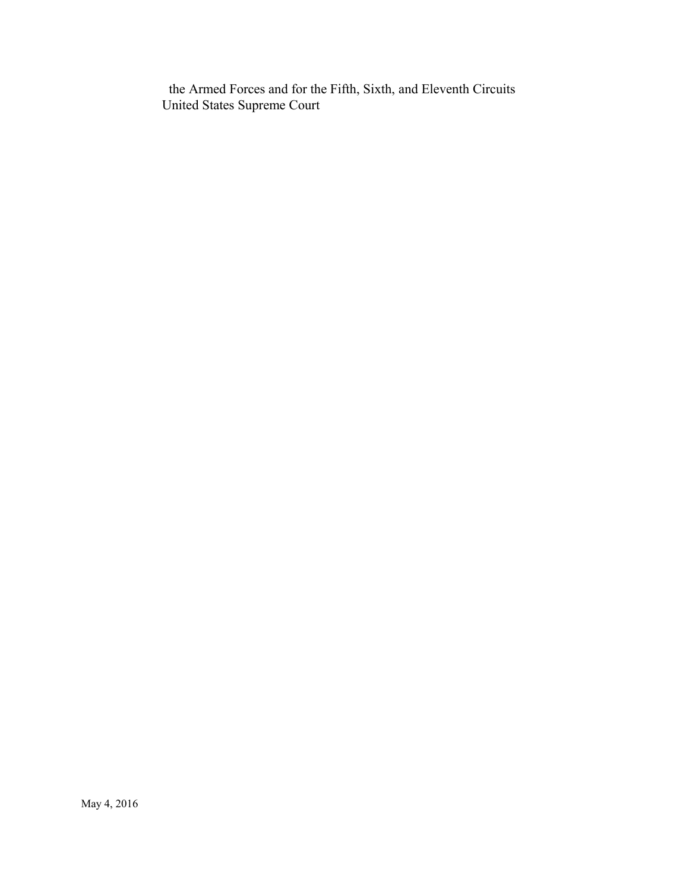the Armed Forces and for the Fifth, Sixth, and Eleventh Circuits United States Supreme Court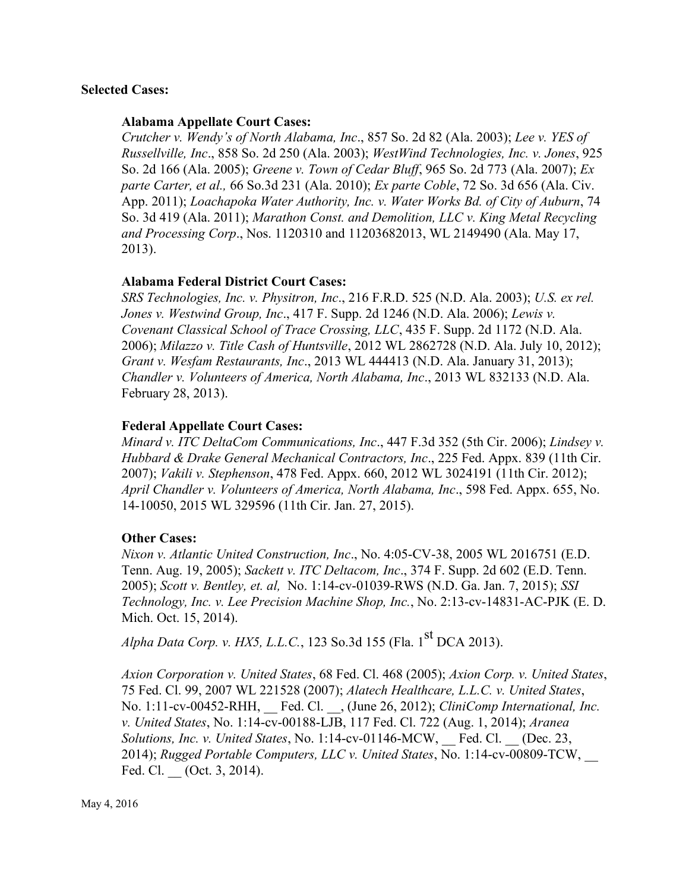## **Selected Cases:**

#### **Alabama Appellate Court Cases:**

*Crutcher v. Wendy's of North Alabama, Inc*., 857 So. 2d 82 (Ala. 2003); *Lee v. YES of Russellville, Inc*., 858 So. 2d 250 (Ala. 2003); *WestWind Technologies, Inc. v. Jones*, 925 So. 2d 166 (Ala. 2005); *Greene v. Town of Cedar Bluff*, 965 So. 2d 773 (Ala. 2007); *Ex parte Carter, et al.,* 66 So.3d 231 (Ala. 2010); *Ex parte Coble*, 72 So. 3d 656 (Ala. Civ. App. 2011); *Loachapoka Water Authority, Inc. v. Water Works Bd. of City of Auburn*, 74 So. 3d 419 (Ala. 2011); *Marathon Const. and Demolition, LLC v. King Metal Recycling and Processing Corp*., Nos. 1120310 and 11203682013, WL 2149490 (Ala. May 17, 2013).

#### **Alabama Federal District Court Cases:**

*SRS Technologies, Inc. v. Physitron, Inc*., 216 F.R.D. 525 (N.D. Ala. 2003); *U.S. ex rel. Jones v. Westwind Group, Inc*., 417 F. Supp. 2d 1246 (N.D. Ala. 2006); *Lewis v. Covenant Classical School of Trace Crossing, LLC*, 435 F. Supp. 2d 1172 (N.D. Ala. 2006); *Milazzo v. Title Cash of Huntsville*, 2012 WL 2862728 (N.D. Ala. July 10, 2012); *Grant v. Wesfam Restaurants, Inc*., 2013 WL 444413 (N.D. Ala. January 31, 2013); *Chandler v. Volunteers of America, North Alabama, Inc*., 2013 WL 832133 (N.D. Ala. February 28, 2013).

#### **Federal Appellate Court Cases:**

*Minard v. ITC DeltaCom Communications, Inc*., 447 F.3d 352 (5th Cir. 2006); *Lindsey v. Hubbard & Drake General Mechanical Contractors, Inc*., 225 Fed. Appx. 839 (11th Cir. 2007); *Vakili v. Stephenson*, 478 Fed. Appx. 660, 2012 WL 3024191 (11th Cir. 2012); *April Chandler v. Volunteers of America, North Alabama, Inc*., 598 Fed. Appx. 655, No. 14-10050, 2015 WL 329596 (11th Cir. Jan. 27, 2015).

#### **Other Cases:**

*Nixon v. Atlantic United Construction, Inc*., No. 4:05-CV-38, 2005 WL 2016751 (E.D. Tenn. Aug. 19, 2005); *Sackett v. ITC Deltacom, Inc*., 374 F. Supp. 2d 602 (E.D. Tenn. 2005); *Scott v. Bentley, et. al,* No. 1:14-cv-01039-RWS (N.D. Ga. Jan. 7, 2015); *SSI Technology, Inc. v. Lee Precision Machine Shop, Inc.*, No. 2:13-cv-14831-AC-PJK (E. D. Mich. Oct. 15, 2014).

*Alpha Data Corp. v. HX5, L.L.C.*, 123 So.3d 155 (Fla. 1<sup>st</sup> DCA 2013).

*Axion Corporation v. United States*, 68 Fed. Cl. 468 (2005); *Axion Corp. v. United States*, 75 Fed. Cl. 99, 2007 WL 221528 (2007); *Alatech Healthcare, L.L.C. v. United States*, No. 1:11-cv-00452-RHH, \_\_ Fed. Cl. \_\_, (June 26, 2012); *CliniComp International, Inc. v. United States*, No. 1:14-cv-00188-LJB, 117 Fed. Cl. 722 (Aug. 1, 2014); *Aranea Solutions, Inc. v. United States*, No. 1:14-cv-01146-MCW, \_\_ Fed. Cl. \_\_ (Dec. 23, 2014); *Rugged Portable Computers, LLC v. United States*, No. 1:14-cv-00809-TCW, \_\_ Fed. Cl. (Oct. 3, 2014).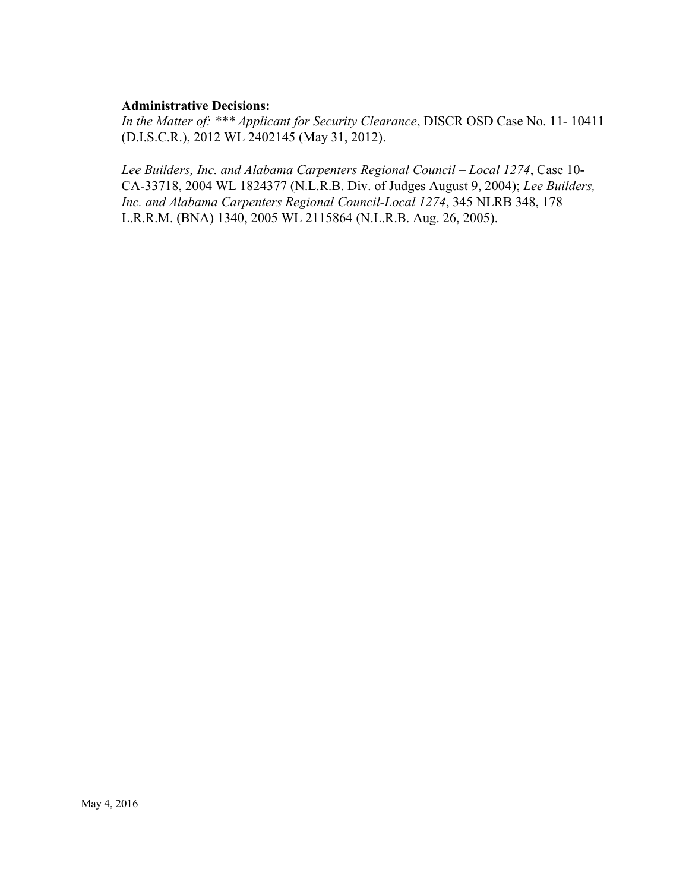# **Administrative Decisions:**

*In the Matter of: \*\*\* Applicant for Security Clearance*, DISCR OSD Case No. 11- 10411 (D.I.S.C.R.), 2012 WL 2402145 (May 31, 2012).

*Lee Builders, Inc. and Alabama Carpenters Regional Council – Local 1274*, Case 10- CA-33718, 2004 WL 1824377 (N.L.R.B. Div. of Judges August 9, 2004); *Lee Builders, Inc. and Alabama Carpenters Regional Council-Local 1274*, 345 NLRB 348, 178 L.R.R.M. (BNA) 1340, 2005 WL 2115864 (N.L.R.B. Aug. 26, 2005).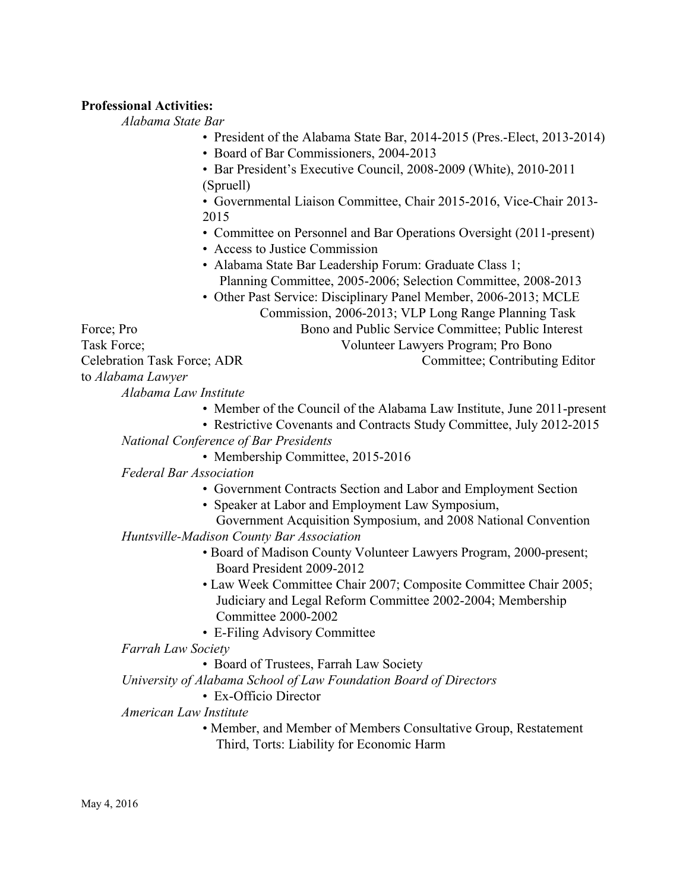# **Professional Activities:**

*Alabama State Bar*

- President of the Alabama State Bar, 2014-2015 (Pres.-Elect, 2013-2014)
- Board of Bar Commissioners, 2004-2013
- Bar President's Executive Council, 2008-2009 (White), 2010-2011 (Spruell)

• Governmental Liaison Committee, Chair 2015-2016, Vice-Chair 2013- 2015

- Committee on Personnel and Bar Operations Oversight (2011-present)
- Access to Justice Commission
- Alabama State Bar Leadership Forum: Graduate Class 1; Planning Committee, 2005-2006; Selection Committee, 2008-2013
- Other Past Service: Disciplinary Panel Member, 2006-2013; MCLE
	- Commission, 2006-2013; VLP Long Range Planning Task

Force; Pro Bono and Public Service Committee; Public Interest Task Force; Volunteer Lawyers Program; Pro Bono

Celebration Task Force; ADR Committee; Contributing Editor

to *Alabama Lawyer*

*Alabama Law Institute*

- Member of the Council of the Alabama Law Institute, June 2011-present
- Restrictive Covenants and Contracts Study Committee, July 2012-2015

*National Conference of Bar Presidents*

• Membership Committee, 2015-2016

# *Federal Bar Association*

- Government Contracts Section and Labor and Employment Section
- Speaker at Labor and Employment Law Symposium,

 Government Acquisition Symposium, and 2008 National Convention *Huntsville-Madison County Bar Association*

- Board of Madison County Volunteer Lawyers Program, 2000-present; Board President 2009-2012
- Law Week Committee Chair 2007; Composite Committee Chair 2005; Judiciary and Legal Reform Committee 2002-2004; Membership Committee 2000-2002
- E-Filing Advisory Committee

*Farrah Law Society*

• Board of Trustees, Farrah Law Society

- *University of Alabama School of Law Foundation Board of Directors*
	- Ex-Officio Director

*American Law Institute*

• Member, and Member of Members Consultative Group, Restatement Third, Torts: Liability for Economic Harm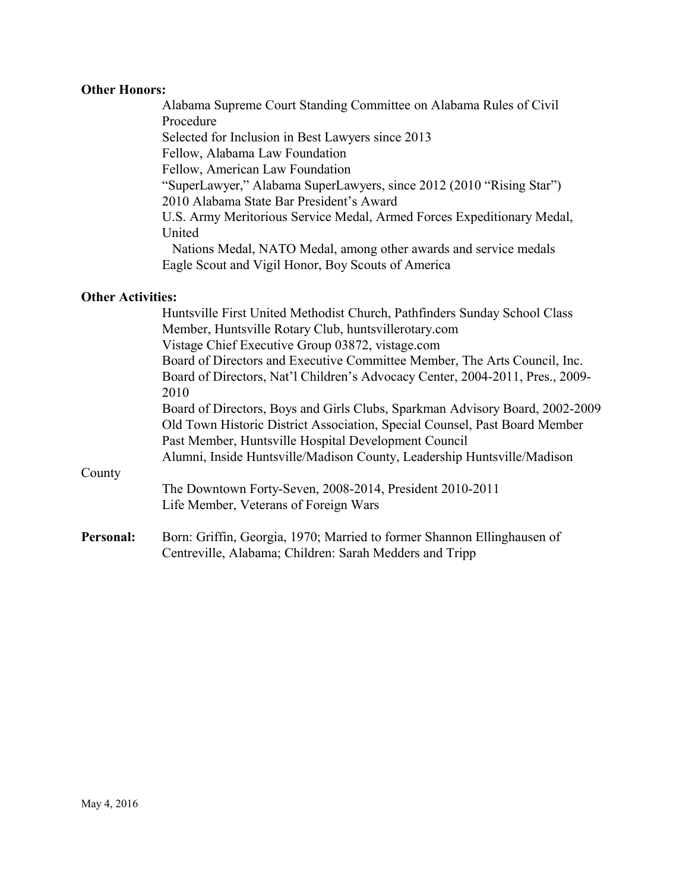## **Other Honors:**

Alabama Supreme Court Standing Committee on Alabama Rules of Civil Procedure Selected for Inclusion in Best Lawyers since 2013 Fellow, Alabama Law Foundation Fellow, American Law Foundation "SuperLawyer," Alabama SuperLawyers, since 2012 (2010 "Rising Star") 2010 Alabama State Bar President's Award U.S. Army Meritorious Service Medal, Armed Forces Expeditionary Medal, United Nations Medal, NATO Medal, among other awards and service medals Eagle Scout and Vigil Honor, Boy Scouts of America

# **Other Activities:**

|                  | Huntsville First United Methodist Church, Pathfinders Sunday School Class     |
|------------------|-------------------------------------------------------------------------------|
|                  | Member, Huntsville Rotary Club, huntsvillerotary.com                          |
|                  | Vistage Chief Executive Group 03872, vistage.com                              |
|                  | Board of Directors and Executive Committee Member, The Arts Council, Inc.     |
|                  | Board of Directors, Nat'l Children's Advocacy Center, 2004-2011, Pres., 2009- |
|                  | 2010                                                                          |
|                  | Board of Directors, Boys and Girls Clubs, Sparkman Advisory Board, 2002-2009  |
|                  | Old Town Historic District Association, Special Counsel, Past Board Member    |
|                  | Past Member, Huntsville Hospital Development Council                          |
|                  | Alumni, Inside Huntsville/Madison County, Leadership Huntsville/Madison       |
| County           |                                                                               |
|                  | The Downtown Forty-Seven, 2008-2014, President 2010-2011                      |
|                  | Life Member, Veterans of Foreign Wars                                         |
| <b>Personal:</b> | Born: Griffin, Georgia, 1970; Married to former Shannon Ellinghausen of       |
|                  | Centreville, Alabama; Children: Sarah Medders and Tripp                       |